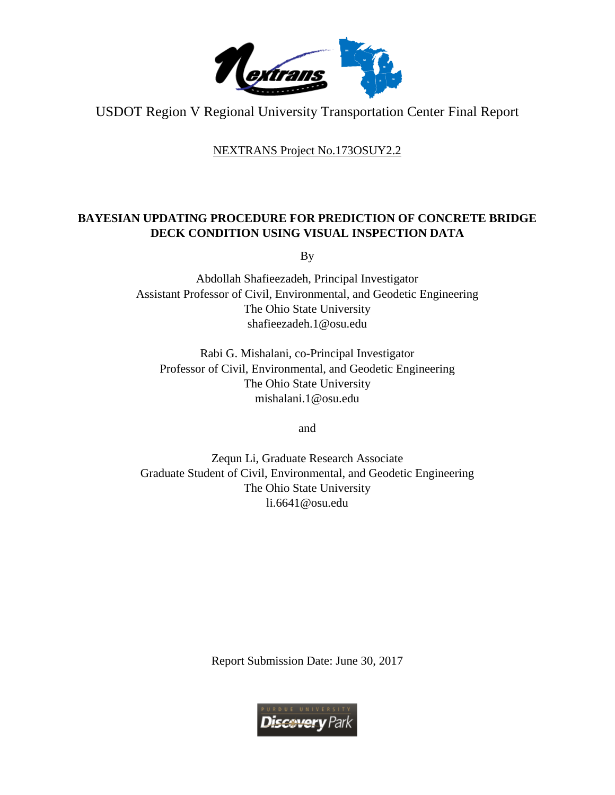

USDOT Region V Regional University Transportation Center Final Report

NEXTRANS Project No.173OSUY2.2

# **BAYESIAN UPDATING PROCEDURE FOR PREDICTION OF CONCRETE BRIDGE DECK CONDITION USING VISUAL INSPECTION DATA**

By

Abdollah Shafieezadeh, Principal Investigator Assistant Professor of Civil, Environmental, and Geodetic Engineering The Ohio State University shafieezadeh.1@osu.edu

Rabi G. Mishalani, co-Principal Investigator Professor of Civil, Environmental, and Geodetic Engineering The Ohio State University mishalani.1@osu.edu

and

Zequn Li, Graduate Research Associate Graduate Student of Civil, Environmental, and Geodetic Engineering The Ohio State University li.6641@osu.edu

Report Submission Date: June 30, 2017

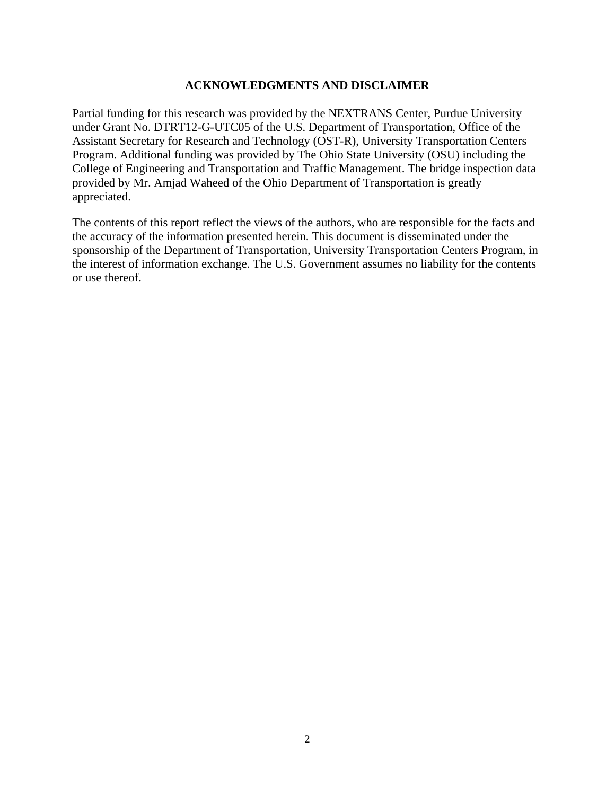#### **ACKNOWLEDGMENTS AND DISCLAIMER**

Partial funding for this research was provided by the NEXTRANS Center, Purdue University under Grant No. DTRT12-G-UTC05 of the U.S. Department of Transportation, Office of the Assistant Secretary for Research and Technology (OST-R), University Transportation Centers Program. Additional funding was provided by The Ohio State University (OSU) including the College of Engineering and Transportation and Traffic Management. The bridge inspection data provided by Mr. Amjad Waheed of the Ohio Department of Transportation is greatly appreciated.

The contents of this report reflect the views of the authors, who are responsible for the facts and the accuracy of the information presented herein. This document is disseminated under the sponsorship of the Department of Transportation, University Transportation Centers Program, in the interest of information exchange. The U.S. Government assumes no liability for the contents or use thereof.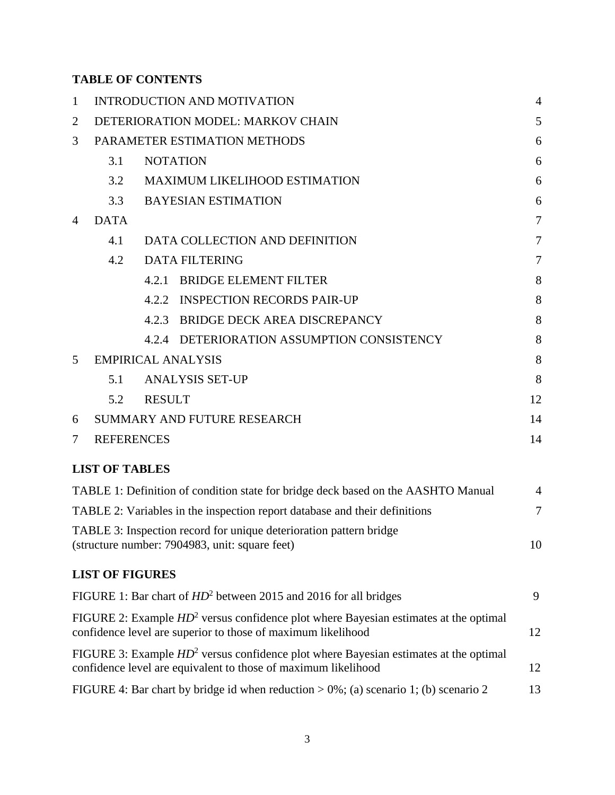# **TABLE OF CONTENTS**

| $\mathbf{1}$   |                           | <b>INTRODUCTION AND MOTIVATION</b>                                                                                                                        |                |  |  |  |
|----------------|---------------------------|-----------------------------------------------------------------------------------------------------------------------------------------------------------|----------------|--|--|--|
| $\overline{2}$ |                           | DETERIORATION MODEL: MARKOV CHAIN                                                                                                                         |                |  |  |  |
| 3              |                           | PARAMETER ESTIMATION METHODS                                                                                                                              | 6              |  |  |  |
|                | 3.1                       | <b>NOTATION</b>                                                                                                                                           | 6              |  |  |  |
|                | 3.2                       | <b>MAXIMUM LIKELIHOOD ESTIMATION</b>                                                                                                                      |                |  |  |  |
|                | 3.3                       | <b>BAYESIAN ESTIMATION</b>                                                                                                                                |                |  |  |  |
| 4              | <b>DATA</b>               |                                                                                                                                                           | $\overline{7}$ |  |  |  |
|                | 4.1                       | DATA COLLECTION AND DEFINITION                                                                                                                            | 7              |  |  |  |
|                | 4.2                       | <b>DATA FILTERING</b>                                                                                                                                     | 7              |  |  |  |
|                |                           | <b>BRIDGE ELEMENT FILTER</b><br>4.2.1                                                                                                                     | 8              |  |  |  |
|                |                           | 4.2.2 INSPECTION RECORDS PAIR-UP                                                                                                                          | 8              |  |  |  |
|                |                           | <b>BRIDGE DECK AREA DISCREPANCY</b><br>4.2.3                                                                                                              | 8              |  |  |  |
|                |                           | DETERIORATION ASSUMPTION CONSISTENCY<br>4.2.4                                                                                                             | 8              |  |  |  |
| 5              | <b>EMPIRICAL ANALYSIS</b> |                                                                                                                                                           |                |  |  |  |
|                | 5.1                       | <b>ANALYSIS SET-UP</b>                                                                                                                                    | 8              |  |  |  |
|                | 5.2                       | <b>RESULT</b>                                                                                                                                             | 12             |  |  |  |
| 6              |                           | <b>SUMMARY AND FUTURE RESEARCH</b>                                                                                                                        | 14             |  |  |  |
| 7              | <b>REFERENCES</b>         |                                                                                                                                                           | 14             |  |  |  |
|                | <b>LIST OF TABLES</b>     |                                                                                                                                                           |                |  |  |  |
|                |                           | TABLE 1: Definition of condition state for bridge deck based on the AASHTO Manual                                                                         | 4              |  |  |  |
|                |                           | TABLE 2: Variables in the inspection report database and their definitions                                                                                | $\tau$         |  |  |  |
|                |                           | TABLE 3: Inspection record for unique deterioration pattern bridge<br>(structure number: 7904983, unit: square feet)                                      | 10             |  |  |  |
|                | <b>LIST OF FIGURES</b>    |                                                                                                                                                           |                |  |  |  |
|                |                           | FIGURE 1: Bar chart of $HD^2$ between 2015 and 2016 for all bridges                                                                                       | 9              |  |  |  |
|                |                           | FIGURE 2: Example $HD^2$ versus confidence plot where Bayesian estimates at the optimal<br>confidence level are superior to those of maximum likelihood   | 12             |  |  |  |
|                |                           | FIGURE 3: Example $HD^2$ versus confidence plot where Bayesian estimates at the optimal<br>confidence level are equivalent to those of maximum likelihood | 12             |  |  |  |
|                |                           | FIGURE 4: Bar chart by bridge id when reduction $> 0\%$ ; (a) scenario 1; (b) scenario 2                                                                  | 13             |  |  |  |
|                |                           |                                                                                                                                                           |                |  |  |  |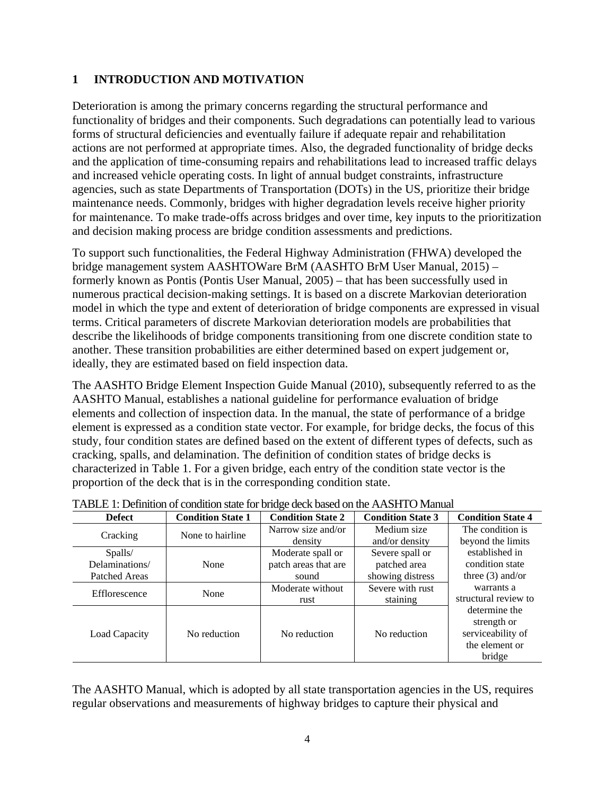### <span id="page-3-0"></span>**1 INTRODUCTION AND MOTIVATION**

Deterioration is among the primary concerns regarding the structural performance and functionality of bridges and their components. Such degradations can potentially lead to various forms of structural deficiencies and eventually failure if adequate repair and rehabilitation actions are not performed at appropriate times. Also, the degraded functionality of bridge decks and the application of time-consuming repairs and rehabilitations lead to increased traffic delays and increased vehicle operating costs. In light of annual budget constraints, infrastructure agencies, such as state Departments of Transportation (DOTs) in the US, prioritize their bridge maintenance needs. Commonly, bridges with higher degradation levels receive higher priority for maintenance. To make trade-offs across bridges and over time, key inputs to the prioritization and decision making process are bridge condition assessments and predictions.

To support such functionalities, the Federal Highway Administration (FHWA) developed the bridge management system AASHTOWare BrM (AASHTO BrM User Manual, 2015) – formerly known as Pontis (Pontis User Manual, 2005) – that has been successfully used in numerous practical decision-making settings. It is based on a discrete Markovian deterioration model in which the type and extent of deterioration of bridge components are expressed in visual terms. Critical parameters of discrete Markovian deterioration models are probabilities that describe the likelihoods of bridge components transitioning from one discrete condition state to another. These transition probabilities are either determined based on expert judgement or, ideally, they are estimated based on field inspection data.

The AASHTO Bridge Element Inspection Guide Manual (2010), subsequently referred to as the AASHTO Manual, establishes a national guideline for performance evaluation of bridge elements and collection of inspection data. In the manual, the state of performance of a bridge element is expressed as a condition state vector. For example, for bridge decks, the focus of this study, four condition states are defined based on the extent of different types of defects, such as cracking, spalls, and delamination. The definition of condition states of bridge decks is characterized in Table 1. For a given bridge, each entry of the condition state vector is the proportion of the deck that is in the corresponding condition state.

| <b>Defect</b>  | <b>Condition State 1</b> | <b>Condition State 2</b> | <b>Condition State 3</b> | <b>Condition State 4</b>                                                      |
|----------------|--------------------------|--------------------------|--------------------------|-------------------------------------------------------------------------------|
| Cracking       | None to hairline         | Narrow size and/or       | Medium size              | The condition is                                                              |
|                |                          | density                  | and/or density           | beyond the limits                                                             |
| Spalls/        |                          | Moderate spall or        | Severe spall or          | established in                                                                |
| Delaminations/ | None                     | patch areas that are     | patched area             | condition state                                                               |
| Patched Areas  |                          | sound                    | showing distress         | three $(3)$ and/or                                                            |
|                | None                     | Moderate without         | Severe with rust         | warrants a                                                                    |
| Efflorescence  |                          | rust                     | staining                 | structural review to                                                          |
| Load Capacity  | No reduction             | No reduction             | No reduction             | determine the<br>strength or<br>serviceability of<br>the element or<br>bridge |

<span id="page-3-1"></span>TABLE 1: Definition of condition state for bridge deck based on the AASHTO Manual

The AASHTO Manual, which is adopted by all state transportation agencies in the US, requires regular observations and measurements of highway bridges to capture their physical and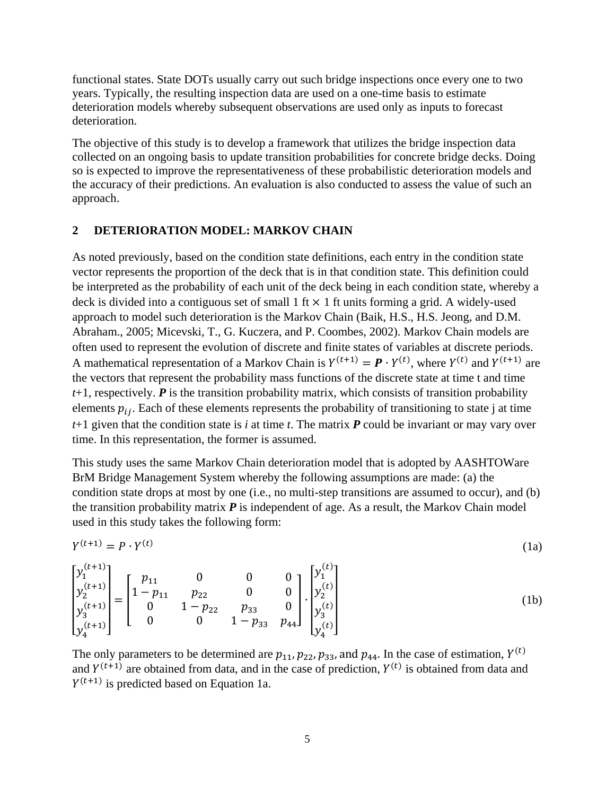functional states. State DOTs usually carry out such bridge inspections once every one to two years. Typically, the resulting inspection data are used on a one-time basis to estimate deterioration models whereby subsequent observations are used only as inputs to forecast deterioration.

The objective of this study is to develop a framework that utilizes the bridge inspection data collected on an ongoing basis to update transition probabilities for concrete bridge decks. Doing so is expected to improve the representativeness of these probabilistic deterioration models and the accuracy of their predictions. An evaluation is also conducted to assess the value of such an approach.

#### <span id="page-4-0"></span>**2 DETERIORATION MODEL: MARKOV CHAIN**

As noted previously, based on the condition state definitions, each entry in the condition state vector represents the proportion of the deck that is in that condition state. This definition could be interpreted as the probability of each unit of the deck being in each condition state, whereby a deck is divided into a contiguous set of small  $1 \text{ ft} \times 1 \text{ ft}$  units forming a grid. A widely-used approach to model such deterioration is the Markov Chain (Baik, H.S., H.S. Jeong, and D.M. Abraham., 2005; Micevski, T., G. Kuczera, and P. Coombes, 2002). Markov Chain models are often used to represent the evolution of discrete and finite states of variables at discrete periods. A mathematical representation of a Markov Chain is  $Y^{(t+1)} = \mathbf{P} \cdot Y^{(t)}$ , where  $Y^{(t)}$  and  $Y^{(t+1)}$  are the vectors that represent the probability mass functions of the discrete state at time t and time  $t+1$ , respectively.  $P$  is the transition probability matrix, which consists of transition probability elements  $p_{ij}$ . Each of these elements represents the probability of transitioning to state j at time  $t+1$  given that the condition state is *i* at time *t*. The matrix  $P$  could be invariant or may vary over time. In this representation, the former is assumed.

This study uses the same Markov Chain deterioration model that is adopted by AASHTOWare BrM Bridge Management System whereby the following assumptions are made: (a) the condition state drops at most by one (i.e., no multi-step transitions are assumed to occur), and (b) the transition probability matrix  $P$  is independent of age. As a result, the Markov Chain model used in this study takes the following form:

$$
Y^{(t+1)} = P \cdot Y^{(t)} \tag{1a}
$$

$$
\begin{bmatrix} y_1^{(t+1)} \\ y_2^{(t+1)} \\ y_3^{(t+1)} \\ y_4^{(t+1)} \end{bmatrix} = \begin{bmatrix} p_{11} & 0 & 0 & 0 \\ 1 - p_{11} & p_{22} & 0 & 0 \\ 0 & 1 - p_{22} & p_{33} & 0 \\ 0 & 0 & 1 - p_{33} & p_{44} \end{bmatrix} \cdot \begin{bmatrix} y_1^{(t)} \\ y_2^{(t)} \\ y_3^{(t)} \\ y_4^{(t)} \end{bmatrix}
$$
 (1b)

The only parameters to be determined are  $p_{11}$ ,  $p_{22}$ ,  $p_{33}$ , and  $p_{44}$ . In the case of estimation,  $Y^{(t)}$ and  $Y^{(t+1)}$  are obtained from data, and in the case of prediction,  $Y^{(t)}$  is obtained from data and  $Y^{(t+1)}$  is predicted based on Equation 1a.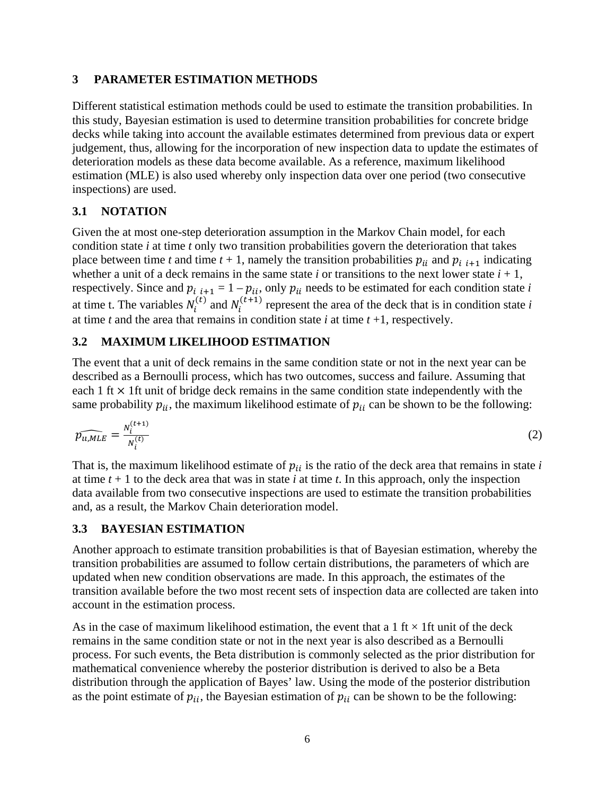### <span id="page-5-0"></span>**3 PARAMETER ESTIMATION METHODS**

Different statistical estimation methods could be used to estimate the transition probabilities. In this study, Bayesian estimation is used to determine transition probabilities for concrete bridge decks while taking into account the available estimates determined from previous data or expert judgement, thus, allowing for the incorporation of new inspection data to update the estimates of deterioration models as these data become available. As a reference, maximum likelihood estimation (MLE) is also used whereby only inspection data over one period (two consecutive inspections) are used.

### <span id="page-5-1"></span>**3.1 NOTATION**

Given the at most one-step deterioration assumption in the Markov Chain model, for each condition state *i* at time *t* only two transition probabilities govern the deterioration that takes place between time *t* and time  $t + 1$ , namely the transition probabilities  $p_{ii}$  and  $p_{i}$   $_{i+1}$  indicating whether a unit of a deck remains in the same state  $i$  or transitions to the next lower state  $i + 1$ , respectively. Since and  $p_{i,i+1} = 1 - p_{ii}$ , only  $p_{ii}$  needs to be estimated for each condition state *i* at time t. The variables  $N_i^{(t)}$  and  $N_i^{(t+1)}$  represent the area of the deck that is in condition state *i* at time *t* and the area that remains in condition state *i* at time *t* +1, respectively.

### <span id="page-5-2"></span>**3.2 MAXIMUM LIKELIHOOD ESTIMATION**

The event that a unit of deck remains in the same condition state or not in the next year can be described as a Bernoulli process, which has two outcomes, success and failure. Assuming that each 1 ft  $\times$  1 ft unit of bridge deck remains in the same condition state independently with the same probability  $p_{ii}$ , the maximum likelihood estimate of  $p_{ii}$  can be shown to be the following:

$$
\widehat{p_{u,MLE}} = \frac{N_i^{(t+1)}}{N_i^{(t)}}
$$
(2)

That is, the maximum likelihood estimate of  $p_{ii}$  is the ratio of the deck area that remains in state  $i$ at time  $t + 1$  to the deck area that was in state *i* at time *t*. In this approach, only the inspection data available from two consecutive inspections are used to estimate the transition probabilities and, as a result, the Markov Chain deterioration model.

### <span id="page-5-3"></span>**3.3 BAYESIAN ESTIMATION**

Another approach to estimate transition probabilities is that of Bayesian estimation, whereby the transition probabilities are assumed to follow certain distributions, the parameters of which are updated when new condition observations are made. In this approach, the estimates of the transition available before the two most recent sets of inspection data are collected are taken into account in the estimation process.

As in the case of maximum likelihood estimation, the event that a 1 ft  $\times$  1ft unit of the deck remains in the same condition state or not in the next year is also described as a Bernoulli process. For such events, the Beta distribution is commonly selected as the prior distribution for mathematical convenience whereby the posterior distribution is derived to also be a Beta distribution through the application of Bayes' law. Using the mode of the posterior distribution as the point estimate of  $p_{ii}$ , the Bayesian estimation of  $p_{ii}$  can be shown to be the following: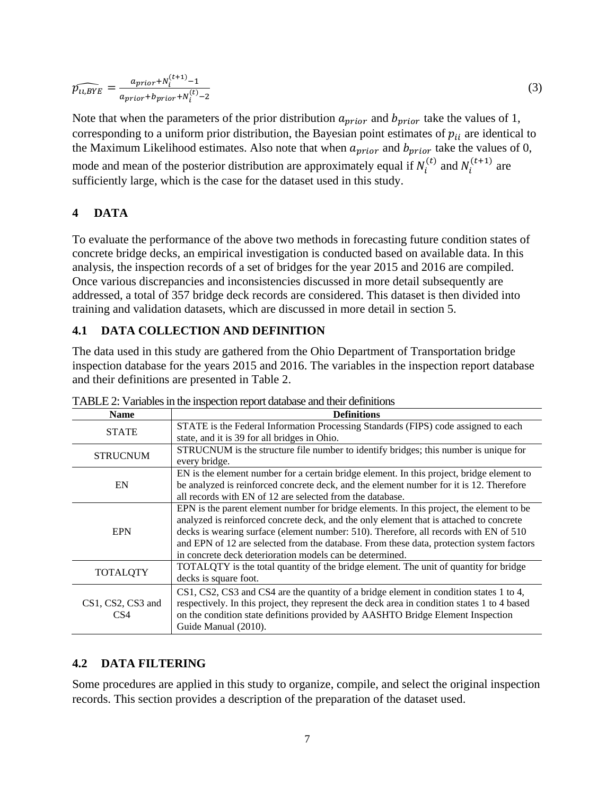$$
\widehat{p_{u,BYE}} = \frac{a_{prior} + N_i^{(t+1)} - 1}{a_{prior} + b_{prior} + N_i^{(t)} - 2}
$$
\n(3)

Note that when the parameters of the prior distribution  $a_{prior}$  and  $b_{prior}$  take the values of 1, corresponding to a uniform prior distribution, the Bayesian point estimates of  $p_{ii}$  are identical to the Maximum Likelihood estimates. Also note that when  $a_{prior}$  and  $b_{prior}$  take the values of 0, mode and mean of the posterior distribution are approximately equal if  $N_i^{(t)}$  and  $N_i^{(t+1)}$  are sufficiently large, which is the case for the dataset used in this study.

### <span id="page-6-0"></span>**4 DATA**

To evaluate the performance of the above two methods in forecasting future condition states of concrete bridge decks, an empirical investigation is conducted based on available data. In this analysis, the inspection records of a set of bridges for the year 2015 and 2016 are compiled. Once various discrepancies and inconsistencies discussed in more detail subsequently are addressed, a total of 357 bridge deck records are considered. This dataset is then divided into training and validation datasets, which are discussed in more detail in section 5.

### <span id="page-6-1"></span>**4.1 DATA COLLECTION AND DEFINITION**

The data used in this study are gathered from the Ohio Department of Transportation bridge inspection database for the years 2015 and 2016. The variables in the inspection report database and their definitions are presented in Table 2.

| <b>Definitions</b>                                                                           |
|----------------------------------------------------------------------------------------------|
| STATE is the Federal Information Processing Standards (FIPS) code assigned to each           |
| state, and it is 39 for all bridges in Ohio.                                                 |
| STRUCNUM is the structure file number to identify bridges; this number is unique for         |
| every bridge.                                                                                |
| EN is the element number for a certain bridge element. In this project, bridge element to    |
| be analyzed is reinforced concrete deck, and the element number for it is 12. Therefore      |
| all records with EN of 12 are selected from the database.                                    |
| EPN is the parent element number for bridge elements. In this project, the element to be     |
| analyzed is reinforced concrete deck, and the only element that is attached to concrete      |
| decks is wearing surface (element number: 510). Therefore, all records with EN of 510        |
| and EPN of 12 are selected from the database. From these data, protection system factors     |
| in concrete deck deterioration models can be determined.                                     |
| TOTALQTY is the total quantity of the bridge element. The unit of quantity for bridge        |
| decks is square foot.                                                                        |
| CS1, CS2, CS3 and CS4 are the quantity of a bridge element in condition states 1 to 4,       |
| respectively. In this project, they represent the deck area in condition states 1 to 4 based |
| on the condition state definitions provided by AASHTO Bridge Element Inspection              |
| Guide Manual (2010).                                                                         |
|                                                                                              |

<span id="page-6-3"></span>TABLE 2: Variables in the inspection report database and their definitions

### <span id="page-6-2"></span>**4.2 DATA FILTERING**

Some procedures are applied in this study to organize, compile, and select the original inspection records. This section provides a description of the preparation of the dataset used.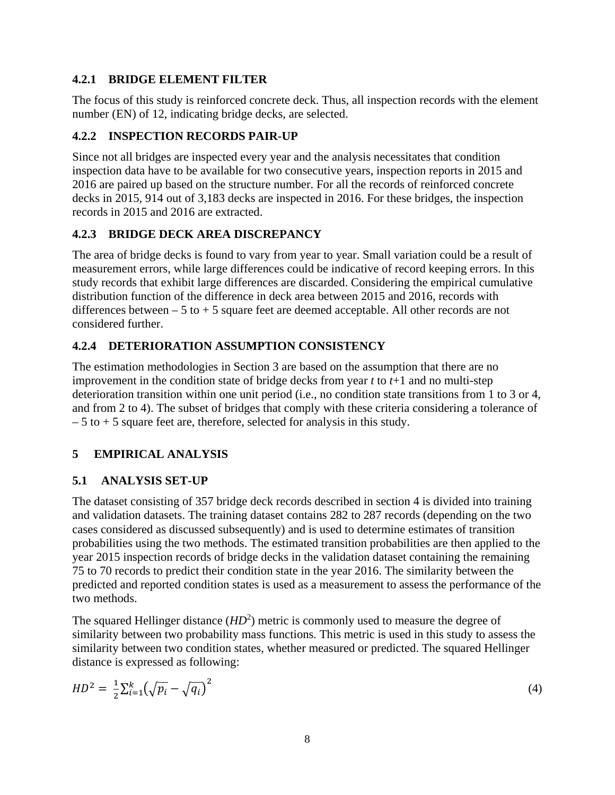### <span id="page-7-0"></span>**4.2.1 BRIDGE ELEMENT FILTER**

The focus of this study is reinforced concrete deck. Thus, all inspection records with the element number (EN) of 12, indicating bridge decks, are selected.

# <span id="page-7-1"></span>**4.2.2 INSPECTION RECORDS PAIR-UP**

Since not all bridges are inspected every year and the analysis necessitates that condition inspection data have to be available for two consecutive years, inspection reports in 2015 and 2016 are paired up based on the structure number. For all the records of reinforced concrete decks in 2015, 914 out of 3,183 decks are inspected in 2016. For these bridges, the inspection records in 2015 and 2016 are extracted.

## <span id="page-7-2"></span>**4.2.3 BRIDGE DECK AREA DISCREPANCY**

The area of bridge decks is found to vary from year to year. Small variation could be a result of measurement errors, while large differences could be indicative of record keeping errors. In this study records that exhibit large differences are discarded. Considering the empirical cumulative distribution function of the difference in deck area between 2015 and 2016, records with differences between  $-5$  to  $+5$  square feet are deemed acceptable. All other records are not considered further.

# <span id="page-7-3"></span>**4.2.4 DETERIORATION ASSUMPTION CONSISTENCY**

The estimation methodologies in Section 3 are based on the assumption that there are no improvement in the condition state of bridge decks from year *t* to *t*+1 and no multi-step deterioration transition within one unit period (i.e., no condition state transitions from 1 to 3 or 4, and from 2 to 4). The subset of bridges that comply with these criteria considering a tolerance of  $-5$  to  $+5$  square feet are, therefore, selected for analysis in this study.

# <span id="page-7-4"></span>**5 EMPIRICAL ANALYSIS**

### <span id="page-7-5"></span>**5.1 ANALYSIS SET-UP**

The dataset consisting of 357 bridge deck records described in section 4 is divided into training and validation datasets. The training dataset contains 282 to 287 records (depending on the two cases considered as discussed subsequently) and is used to determine estimates of transition probabilities using the two methods. The estimated transition probabilities are then applied to the year 2015 inspection records of bridge decks in the validation dataset containing the remaining 75 to 70 records to predict their condition state in the year 2016. The similarity between the predicted and reported condition states is used as a measurement to assess the performance of the two methods.

The squared Hellinger distance  $(HD<sup>2</sup>)$  metric is commonly used to measure the degree of similarity between two probability mass functions. This metric is used in this study to assess the similarity between two condition states, whether measured or predicted. The squared Hellinger distance is expressed as following:

$$
HD^2 = \frac{1}{2} \sum_{i=1}^{k} \left( \sqrt{p_i} - \sqrt{q_i} \right)^2
$$
 (4)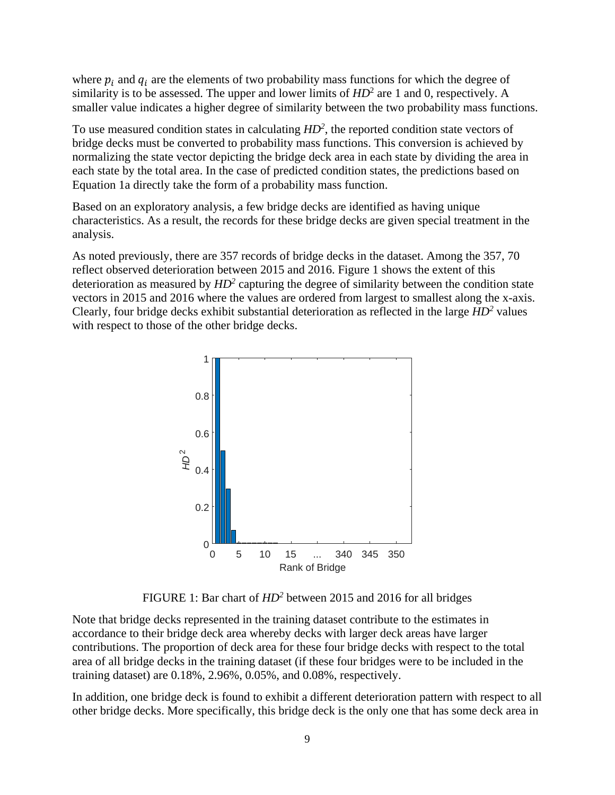where  $p_i$  and  $q_i$  are the elements of two probability mass functions for which the degree of similarity is to be assessed. The upper and lower limits of  $HD^2$  are 1 and 0, respectively. A smaller value indicates a higher degree of similarity between the two probability mass functions.

To use measured condition states in calculating *HD2* , the reported condition state vectors of bridge decks must be converted to probability mass functions. This conversion is achieved by normalizing the state vector depicting the bridge deck area in each state by dividing the area in each state by the total area. In the case of predicted condition states, the predictions based on Equation 1a directly take the form of a probability mass function.

Based on an exploratory analysis, a few bridge decks are identified as having unique characteristics. As a result, the records for these bridge decks are given special treatment in the analysis.

As noted previously, there are 357 records of bridge decks in the dataset. Among the 357, 70 reflect observed deterioration between 2015 and 2016. Figure 1 shows the extent of this deterioration as measured by *HD2* capturing the degree of similarity between the condition state vectors in 2015 and 2016 where the values are ordered from largest to smallest along the x-axis. Clearly, four bridge decks exhibit substantial deterioration as reflected in the large *HD2* values with respect to those of the other bridge decks.



FIGURE 1: Bar chart of *HD2* between 2015 and 2016 for all bridges

Note that bridge decks represented in the training dataset contribute to the estimates in accordance to their bridge deck area whereby decks with larger deck areas have larger contributions. The proportion of deck area for these four bridge decks with respect to the total area of all bridge decks in the training dataset (if these four bridges were to be included in the training dataset) are 0.18%, 2.96%, 0.05%, and 0.08%, respectively.

In addition, one bridge deck is found to exhibit a different deterioration pattern with respect to all other bridge decks. More specifically, this bridge deck is the only one that has some deck area in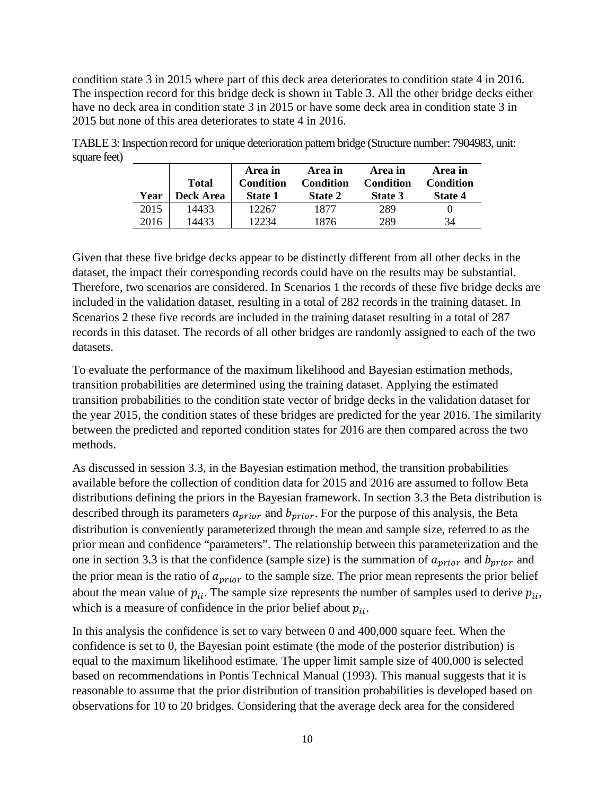condition state 3 in 2015 where part of this deck area deteriorates to condition state 4 in 2016. The inspection record for this bridge deck is shown in Table 3. All the other bridge decks either have no deck area in condition state 3 in 2015 or have some deck area in condition state 3 in 2015 but none of this area deteriorates to state 4 in 2016.

| Year | <b>Total</b><br>Deck Area | Area in<br>Condition<br><b>State 1</b> | Area in<br><b>Condition</b><br>State 2 | Area in<br>Condition<br>State 3 | Area in<br>Condition<br>State 4 |
|------|---------------------------|----------------------------------------|----------------------------------------|---------------------------------|---------------------------------|
| 2015 | 14433                     | 12267                                  | 1877                                   | 289                             |                                 |
| 2016 | 14433                     | 12234                                  | 1876                                   | 289                             | 34                              |

<span id="page-9-0"></span>TABLE 3: Inspection record for unique deterioration pattern bridge (Structure number: 7904983, unit: square feet)

Given that these five bridge decks appear to be distinctly different from all other decks in the dataset, the impact their corresponding records could have on the results may be substantial. Therefore, two scenarios are considered. In Scenarios 1 the records of these five bridge decks are included in the validation dataset, resulting in a total of 282 records in the training dataset. In Scenarios 2 these five records are included in the training dataset resulting in a total of 287 records in this dataset. The records of all other bridges are randomly assigned to each of the two datasets.

To evaluate the performance of the maximum likelihood and Bayesian estimation methods, transition probabilities are determined using the training dataset. Applying the estimated transition probabilities to the condition state vector of bridge decks in the validation dataset for the year 2015, the condition states of these bridges are predicted for the year 2016. The similarity between the predicted and reported condition states for 2016 are then compared across the two methods.

As discussed in session 3.3, in the Bayesian estimation method, the transition probabilities available before the collection of condition data for 2015 and 2016 are assumed to follow Beta distributions defining the priors in the Bayesian framework. In section 3.3 the Beta distribution is described through its parameters  $a_{prior}$  and  $b_{prior}$ . For the purpose of this analysis, the Beta distribution is conveniently parameterized through the mean and sample size, referred to as the prior mean and confidence "parameters". The relationship between this parameterization and the one in section 3.3 is that the confidence (sample size) is the summation of  $a_{prior}$  and  $b_{prior}$  and the prior mean is the ratio of  $a_{prior}$  to the sample size. The prior mean represents the prior belief about the mean value of  $p_{ii}$ . The sample size represents the number of samples used to derive  $p_{ii}$ , which is a measure of confidence in the prior belief about  $p_{ii}$ .

In this analysis the confidence is set to vary between 0 and 400,000 square feet. When the confidence is set to 0, the Bayesian point estimate (the mode of the posterior distribution) is equal to the maximum likelihood estimate. The upper limit sample size of 400,000 is selected based on recommendations in Pontis Technical Manual (1993). This manual suggests that it is reasonable to assume that the prior distribution of transition probabilities is developed based on observations for 10 to 20 bridges. Considering that the average deck area for the considered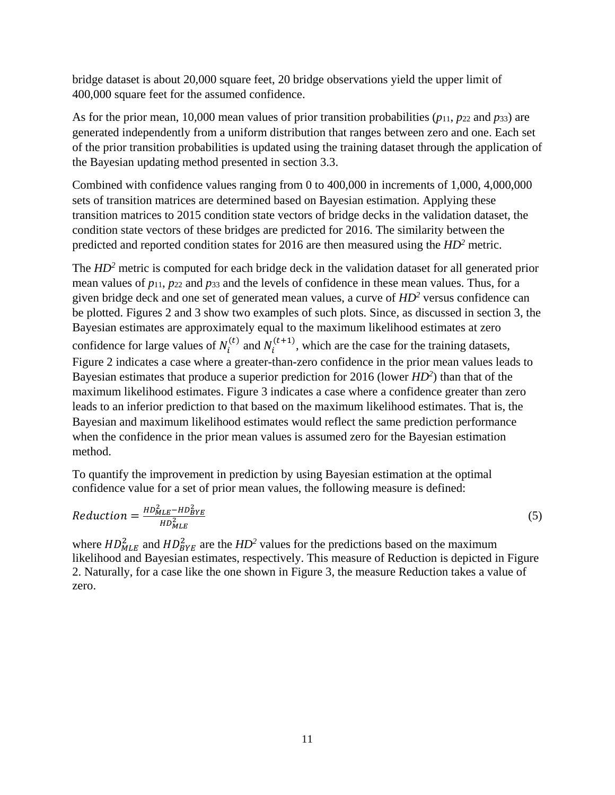bridge dataset is about 20,000 square feet, 20 bridge observations yield the upper limit of 400,000 square feet for the assumed confidence.

As for the prior mean, 10,000 mean values of prior transition probabilities (*p*11, *p*<sup>22</sup> and *p*33) are generated independently from a uniform distribution that ranges between zero and one. Each set of the prior transition probabilities is updated using the training dataset through the application of the Bayesian updating method presented in section 3.3.

Combined with confidence values ranging from 0 to 400,000 in increments of 1,000, 4,000,000 sets of transition matrices are determined based on Bayesian estimation. Applying these transition matrices to 2015 condition state vectors of bridge decks in the validation dataset, the condition state vectors of these bridges are predicted for 2016. The similarity between the predicted and reported condition states for 2016 are then measured using the *HD2* metric.

The *HD*<sup>2</sup> metric is computed for each bridge deck in the validation dataset for all generated prior mean values of *p*11, *p*<sup>22</sup> and *p*<sup>33</sup> and the levels of confidence in these mean values. Thus, for a given bridge deck and one set of generated mean values, a curve of *HD2* versus confidence can be plotted. Figures 2 and 3 show two examples of such plots. Since, as discussed in section 3, the Bayesian estimates are approximately equal to the maximum likelihood estimates at zero confidence for large values of  $N_i^{(t)}$  and  $N_i^{(t+1)}$ , which are the case for the training datasets, Figure 2 indicates a case where a greater-than-zero confidence in the prior mean values leads to Bayesian estimates that produce a superior prediction for 2016 (lower *HD2* ) than that of the maximum likelihood estimates. Figure 3 indicates a case where a confidence greater than zero leads to an inferior prediction to that based on the maximum likelihood estimates. That is, the Bayesian and maximum likelihood estimates would reflect the same prediction performance when the confidence in the prior mean values is assumed zero for the Bayesian estimation method.

To quantify the improvement in prediction by using Bayesian estimation at the optimal confidence value for a set of prior mean values, the following measure is defined:

$$
Reduction = \frac{HD_{MLE}^2 - HD_{BYE}^2}{HD_{MLE}^2} \tag{5}
$$

where  $HD_{MLE}^2$  and  $HD_{BYE}^2$  are the  $HD^2$  values for the predictions based on the maximum likelihood and Bayesian estimates, respectively. This measure of Reduction is depicted in Figure 2. Naturally, for a case like the one shown in Figure 3, the measure Reduction takes a value of zero.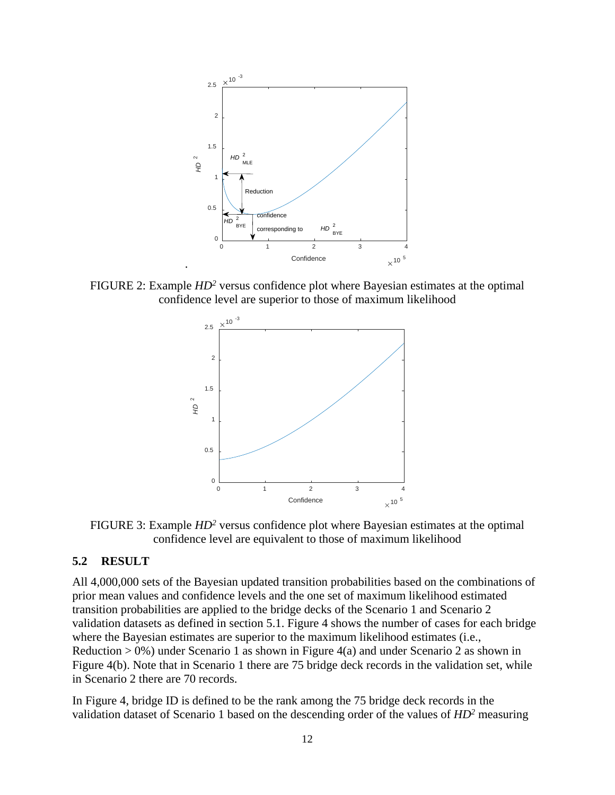<span id="page-11-0"></span>

FIGURE 2: Example *HD2* versus confidence plot where Bayesian estimates at the optimal confidence level are superior to those of maximum likelihood



FIGURE 3: Example *HD2* versus confidence plot where Bayesian estimates at the optimal confidence level are equivalent to those of maximum likelihood

#### **5.2 RESULT**

All 4,000,000 sets of the Bayesian updated transition probabilities based on the combinations of prior mean values and confidence levels and the one set of maximum likelihood estimated transition probabilities are applied to the bridge decks of the Scenario 1 and Scenario 2 validation datasets as defined in section 5.1. Figure 4 shows the number of cases for each bridge where the Bayesian estimates are superior to the maximum likelihood estimates (i.e., Reduction  $> 0\%$ ) under Scenario 1 as shown in Figure 4(a) and under Scenario 2 as shown in Figure 4(b). Note that in Scenario 1 there are 75 bridge deck records in the validation set, while in Scenario 2 there are 70 records.

In Figure 4, bridge ID is defined to be the rank among the 75 bridge deck records in the validation dataset of Scenario 1 based on the descending order of the values of *HD2* measuring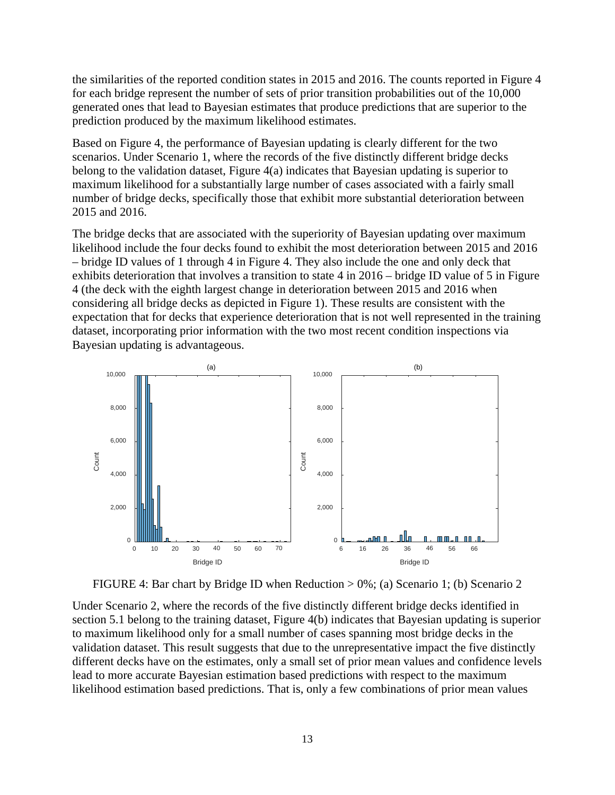the similarities of the reported condition states in 2015 and 2016. The counts reported in Figure 4 for each bridge represent the number of sets of prior transition probabilities out of the 10,000 generated ones that lead to Bayesian estimates that produce predictions that are superior to the prediction produced by the maximum likelihood estimates.

Based on Figure 4, the performance of Bayesian updating is clearly different for the two scenarios. Under Scenario 1, where the records of the five distinctly different bridge decks belong to the validation dataset, Figure 4(a) indicates that Bayesian updating is superior to maximum likelihood for a substantially large number of cases associated with a fairly small number of bridge decks, specifically those that exhibit more substantial deterioration between 2015 and 2016.

The bridge decks that are associated with the superiority of Bayesian updating over maximum likelihood include the four decks found to exhibit the most deterioration between 2015 and 2016 – bridge ID values of 1 through 4 in Figure 4. They also include the one and only deck that exhibits deterioration that involves a transition to state 4 in 2016 – bridge ID value of 5 in Figure 4 (the deck with the eighth largest change in deterioration between 2015 and 2016 when considering all bridge decks as depicted in Figure 1). These results are consistent with the expectation that for decks that experience deterioration that is not well represented in the training dataset, incorporating prior information with the two most recent condition inspections via Bayesian updating is advantageous.



FIGURE 4: Bar chart by Bridge ID when Reduction > 0%; (a) Scenario 1; (b) Scenario 2

Under Scenario 2, where the records of the five distinctly different bridge decks identified in section 5.1 belong to the training dataset, Figure 4(b) indicates that Bayesian updating is superior to maximum likelihood only for a small number of cases spanning most bridge decks in the validation dataset. This result suggests that due to the unrepresentative impact the five distinctly different decks have on the estimates, only a small set of prior mean values and confidence levels lead to more accurate Bayesian estimation based predictions with respect to the maximum likelihood estimation based predictions. That is, only a few combinations of prior mean values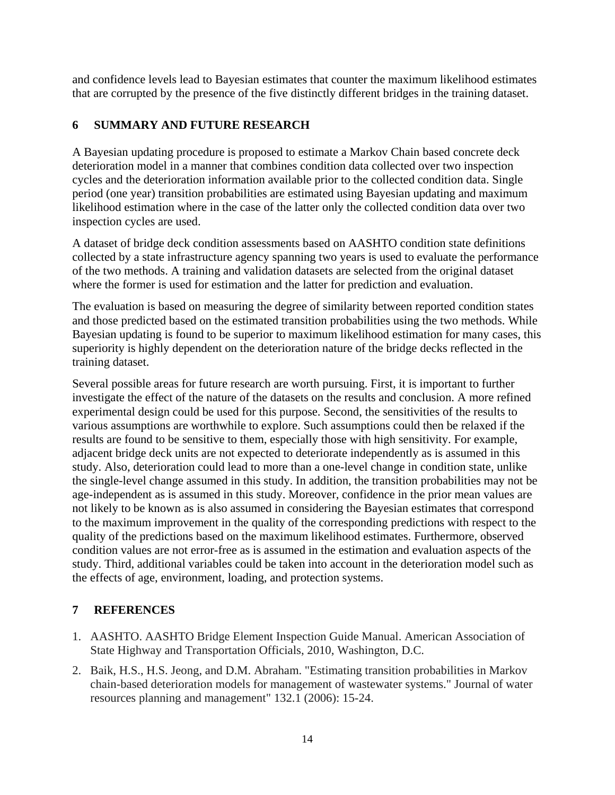and confidence levels lead to Bayesian estimates that counter the maximum likelihood estimates that are corrupted by the presence of the five distinctly different bridges in the training dataset.

# <span id="page-13-0"></span>**6 SUMMARY AND FUTURE RESEARCH**

A Bayesian updating procedure is proposed to estimate a Markov Chain based concrete deck deterioration model in a manner that combines condition data collected over two inspection cycles and the deterioration information available prior to the collected condition data. Single period (one year) transition probabilities are estimated using Bayesian updating and maximum likelihood estimation where in the case of the latter only the collected condition data over two inspection cycles are used.

A dataset of bridge deck condition assessments based on AASHTO condition state definitions collected by a state infrastructure agency spanning two years is used to evaluate the performance of the two methods. A training and validation datasets are selected from the original dataset where the former is used for estimation and the latter for prediction and evaluation.

The evaluation is based on measuring the degree of similarity between reported condition states and those predicted based on the estimated transition probabilities using the two methods. While Bayesian updating is found to be superior to maximum likelihood estimation for many cases, this superiority is highly dependent on the deterioration nature of the bridge decks reflected in the training dataset.

Several possible areas for future research are worth pursuing. First, it is important to further investigate the effect of the nature of the datasets on the results and conclusion. A more refined experimental design could be used for this purpose. Second, the sensitivities of the results to various assumptions are worthwhile to explore. Such assumptions could then be relaxed if the results are found to be sensitive to them, especially those with high sensitivity. For example, adjacent bridge deck units are not expected to deteriorate independently as is assumed in this study. Also, deterioration could lead to more than a one-level change in condition state, unlike the single-level change assumed in this study. In addition, the transition probabilities may not be age-independent as is assumed in this study. Moreover, confidence in the prior mean values are not likely to be known as is also assumed in considering the Bayesian estimates that correspond to the maximum improvement in the quality of the corresponding predictions with respect to the quality of the predictions based on the maximum likelihood estimates. Furthermore, observed condition values are not error-free as is assumed in the estimation and evaluation aspects of the study. Third, additional variables could be taken into account in the deterioration model such as the effects of age, environment, loading, and protection systems.

# <span id="page-13-1"></span>**7 REFERENCES**

- 1. AASHTO. AASHTO Bridge Element Inspection Guide Manual. American Association of State Highway and Transportation Officials, 2010, Washington, D.C.
- 2. Baik, H.S., H.S. Jeong, and D.M. Abraham. "Estimating transition probabilities in Markov chain-based deterioration models for management of wastewater systems." Journal of water resources planning and management" 132.1 (2006): 15-24.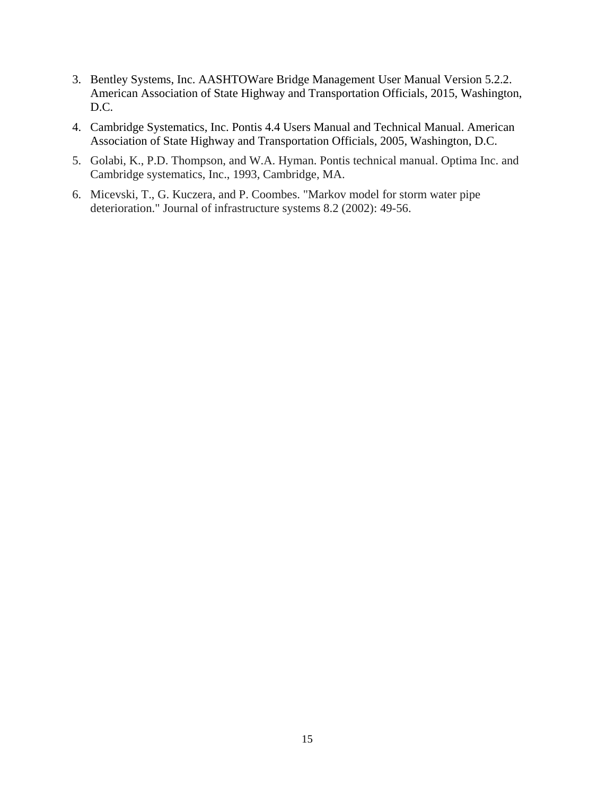- 3. Bentley Systems, Inc. AASHTOWare Bridge Management User Manual Version 5.2.2. American Association of State Highway and Transportation Officials, 2015, Washington, D.C.
- 4. Cambridge Systematics, Inc. Pontis 4.4 Users Manual and Technical Manual. American Association of State Highway and Transportation Officials, 2005, Washington, D.C.
- 5. Golabi, K., P.D. Thompson, and W.A. Hyman. Pontis technical manual. Optima Inc. and Cambridge systematics, Inc., 1993, Cambridge, MA.
- 6. Micevski, T., G. Kuczera, and P. Coombes. "Markov model for storm water pipe deterioration." Journal of infrastructure systems 8.2 (2002): 49-56.